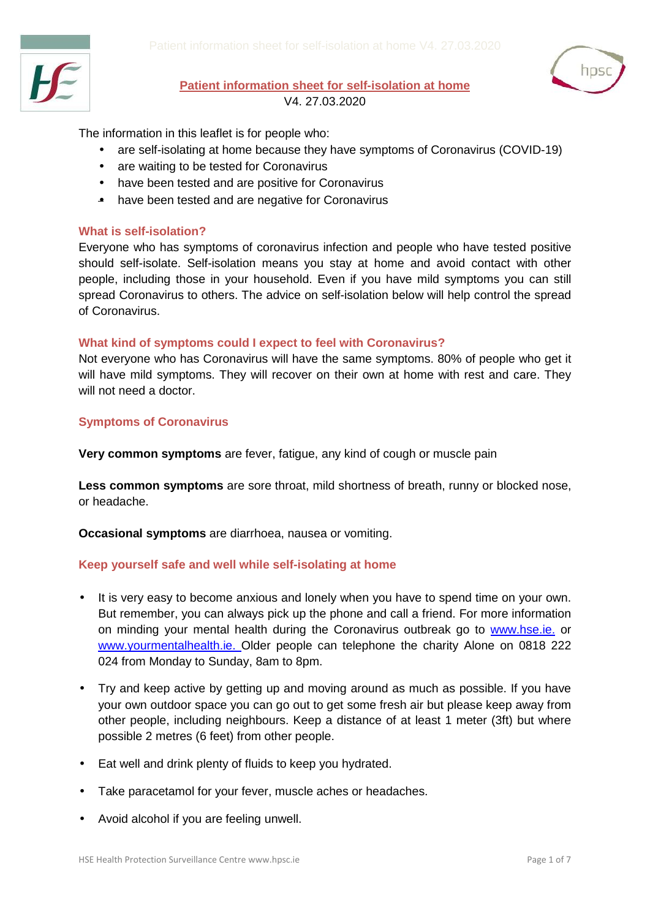



## **Patient information sheet for self-isolation at home**

V4. 27.03.2020

The information in this leaflet is for people who:

- are self-isolating at home because they have symptoms of Coronavirus (COVID-19)
- are waiting to be tested for Coronavirus
- have been tested and are positive for Coronavirus
- have been tested and are negative for Coronavirus

#### **What is self-isolation?**

Everyone who has symptoms of coronavirus infection and people who have tested positive should self-isolate. Self-isolation means you stay at home and avoid contact with other people, including those in your household. Even if you have mild symptoms you can still spread Coronavirus to others. The advice on self-isolation below will help control the spread of Coronavirus.

#### **What kind of symptoms could I expect to feel with Coronavirus?**

Not everyone who has Coronavirus will have the same symptoms. 80% of people who get it will have mild symptoms. They will recover on their own at home with rest and care. They will not need a doctor.

#### **Symptoms of Coronavirus**

**Very common symptoms** are fever, fatigue, any kind of cough or muscle pain

**Less common symptoms** are sore throat, mild shortness of breath, runny or blocked nose, or headache.

**Occasional symptoms** are diarrhoea, nausea or vomiting.

#### **Keep yourself safe and well while self-isolating at home**

- It is very easy to become anxious and lonely when you have to spend time on your own. But remember, you can always pick up the phone and call a friend. For more information on minding your mental health during the Coronavirus outbreak go to [www.hse.ie.](https://www2.hse.ie/wellbeing/mental-health/minding-your-mental-health-during-the-coronavirus-outbreak.html) or [www.yourmentalhealth](http://www.yourmentalhealth.ie/).ie. Older people can telephone the charity Alone on 0818 222 024 from Monday to Sunday, 8am to 8pm.
- Try and keep active by getting up and moving around as much as possible. If you have your own outdoor space you can go out to get some fresh air but please keep away from other people, including neighbours. Keep a distance of at least 1 meter (3ft) but where possible 2 metres (6 feet) from other people.
- Eat well and drink plenty of fluids to keep you hydrated.
- Take paracetamol for your fever, muscle aches or headaches.
- Avoid alcohol if you are feeling unwell.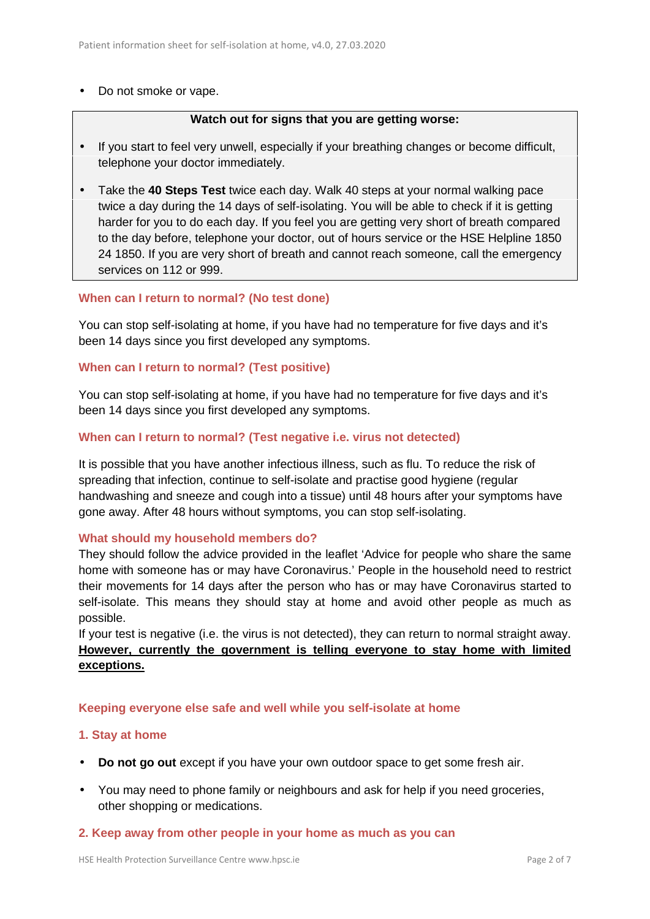#### • Do not smoke or vape.

#### **Watch out for signs that you are getting worse:**

- If you start to feel very unwell, especially if your breathing changes or become difficult, telephone your doctor immediately.
- Take the **40 Steps Test** twice each day. Walk 40 steps at your normal walking pace twice a day during the 14 days of self-isolating. You will be able to check if it is getting harder for you to do each day. If you feel you are getting very short of breath compared to the day before, telephone your doctor, out of hours service or the HSE Helpline 1850 24 1850. If you are very short of breath and cannot reach someone, call the emergency services on 112 or 999.

#### **When can I return to normal? (No test done)**

You can stop self-isolating at home, if you have had no temperature for five days and it's been 14 days since you first developed any symptoms.

#### **When can I return to normal? (Test positive)**

You can stop self-isolating at home, if you have had no temperature for five days and it's been 14 days since you first developed any symptoms.

#### **When can I return to normal? (Test negative i.e. virus not detected)**

It is possible that you have another infectious illness, such as flu. To reduce the risk of spreading that infection, continue to self-isolate and practise good hygiene (regular handwashing and sneeze and cough into a tissue) until 48 hours after your symptoms have gone away. After 48 hours without symptoms, you can stop self-isolating.

#### **What should my household members do?**

They should follow the advice provided in the leaflet 'Advice for people who share the same home with someone has or may have Coronavirus.' People in the household need to restrict their movements for 14 days after the person who has or may have Coronavirus started to self-isolate. This means they should stay at home and avoid other people as much as possible.

If your test is negative (i.e. the virus is not detected), they can return to normal straight away. **However, currently the government is telling everyone to stay home with limited exceptions.**

#### **Keeping everyone else safe and well while you self-isolate at home**

#### **1. Stay at home**

- **Do not go out** except if you have your own outdoor space to get some fresh air.
- You may need to phone family or neighbours and ask for help if you need groceries, other shopping or medications.

#### **2. Keep away from other people in your home as much as you can**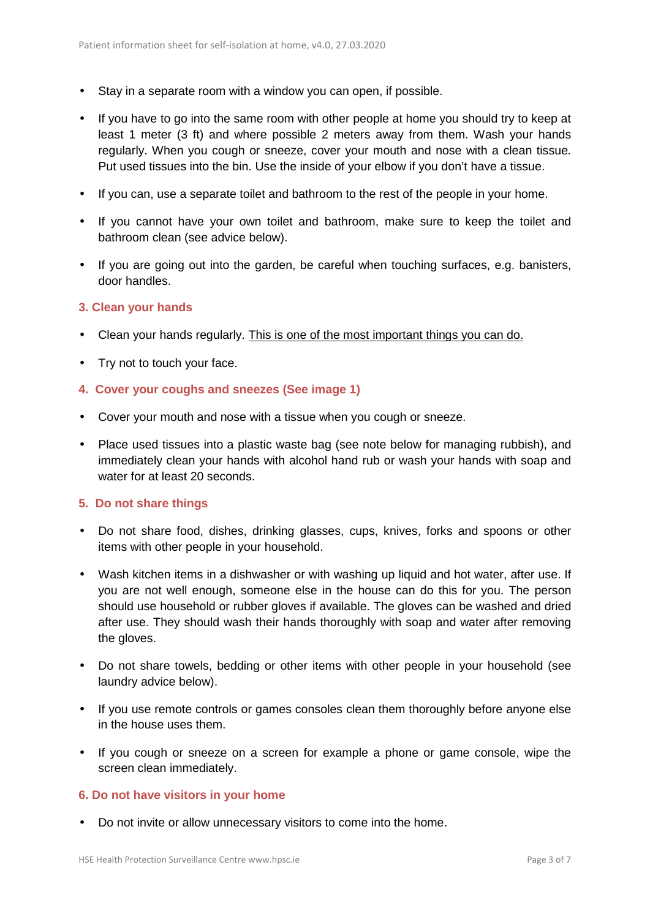- Stay in a separate room with a window you can open, if possible.
- If you have to go into the same room with other people at home you should try to keep at least 1 meter (3 ft) and where possible 2 meters away from them. Wash your hands regularly. When you cough or sneeze, cover your mouth and nose with a clean tissue. Put used tissues into the bin. Use the inside of your elbow if you don't have a tissue.
- If you can, use a separate toilet and bathroom to the rest of the people in your home.
- If you cannot have your own toilet and bathroom, make sure to keep the toilet and bathroom clean (see advice below).
- If you are going out into the garden, be careful when touching surfaces, e.g. banisters, door handles.

#### **3. Clean your hands**

- Clean your hands regularly. This is one of the most important things you can do.
- Try not to touch your face.
- **4. Cover your coughs and sneezes (See image 1)**
- Cover your mouth and nose with a tissue when you cough or sneeze.
- Place used tissues into a plastic waste bag (see note below for managing rubbish), and immediately clean your hands with alcohol hand rub or wash your hands with soap and water for at least 20 seconds.

#### **5. Do not share things**

- Do not share food, dishes, drinking glasses, cups, knives, forks and spoons or other items with other people in your household.
- Wash kitchen items in a dishwasher or with washing up liquid and hot water, after use. If you are not well enough, someone else in the house can do this for you. The person should use household or rubber gloves if available. The gloves can be washed and dried after use. They should wash their hands thoroughly with soap and water after removing the gloves.
- Do not share towels, bedding or other items with other people in your household (see laundry advice below).
- If you use remote controls or games consoles clean them thoroughly before anyone else in the house uses them.
- If you cough or sneeze on a screen for example a phone or game console, wipe the screen clean immediately.

#### **6. Do not have visitors in your home**

Do not invite or allow unnecessary visitors to come into the home.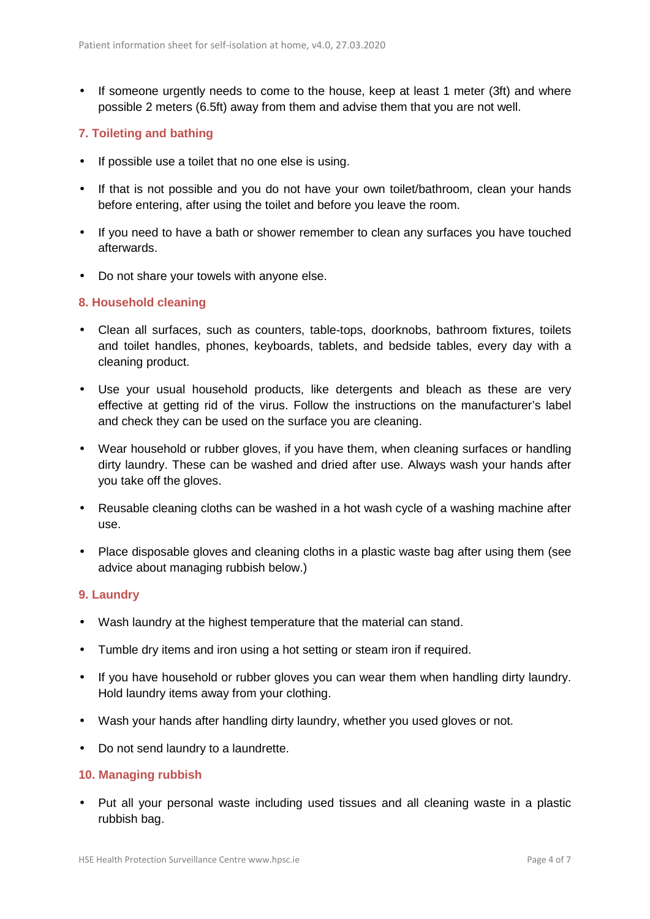• If someone urgently needs to come to the house, keep at least 1 meter (3ft) and where possible 2 meters (6.5ft) away from them and advise them that you are not well.

#### **7. Toileting and bathing**

- If possible use a toilet that no one else is using.
- If that is not possible and you do not have your own toilet/bathroom, clean your hands before entering, after using the toilet and before you leave the room.
- If you need to have a bath or shower remember to clean any surfaces you have touched afterwards.
- Do not share your towels with anyone else.

#### **8. Household cleaning**

- Clean all surfaces, such as counters, table-tops, doorknobs, bathroom fixtures, toilets and toilet handles, phones, keyboards, tablets, and bedside tables, every day with a cleaning product.
- Use your usual household products, like detergents and bleach as these are very effective at getting rid of the virus. Follow the instructions on the manufacturer's label and check they can be used on the surface you are cleaning.
- Wear household or rubber gloves, if you have them, when cleaning surfaces or handling dirty laundry. These can be washed and dried after use. Always wash your hands after you take off the gloves.
- Reusable cleaning cloths can be washed in a hot wash cycle of a washing machine after use.
- Place disposable gloves and cleaning cloths in a plastic waste bag after using them (see advice about managing rubbish below.)

#### **9. Laundry**

- Wash laundry at the highest temperature that the material can stand.
- Tumble dry items and iron using a hot setting or steam iron if required.
- If you have household or rubber gloves you can wear them when handling dirty laundry. Hold laundry items away from your clothing.
- Wash your hands after handling dirty laundry, whether you used gloves or not.
- Do not send laundry to a laundrette.

#### **10. Managing rubbish**

 Put all your personal waste including used tissues and all cleaning waste in a plastic rubbish bag.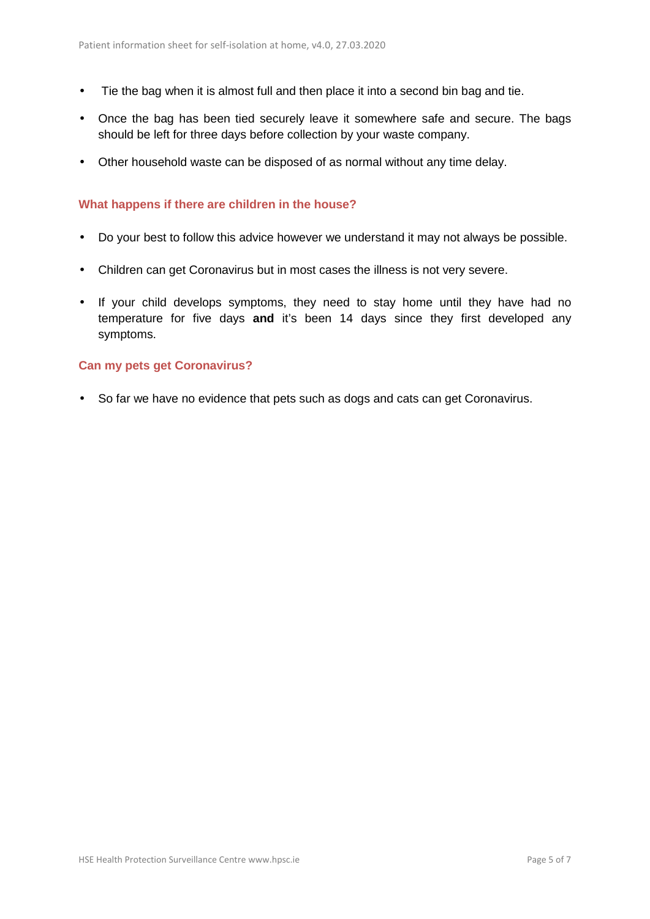- Tie the bag when it is almost full and then place it into a second bin bag and tie.
- Once the bag has been tied securely leave it somewhere safe and secure. The bags should be left for three days before collection by your waste company.
- Other household waste can be disposed of as normal without any time delay.

#### **What happens if there are children in the house?**

- Do your best to follow this advice however we understand it may not always be possible.
- Children can get Coronavirus but in most cases the illness is not very severe.
- If your child develops symptoms, they need to stay home until they have had no temperature for five days **and** it's been 14 days since they first developed any symptoms.

#### **Can my pets get Coronavirus?**

• So far we have no evidence that pets such as dogs and cats can get Coronavirus.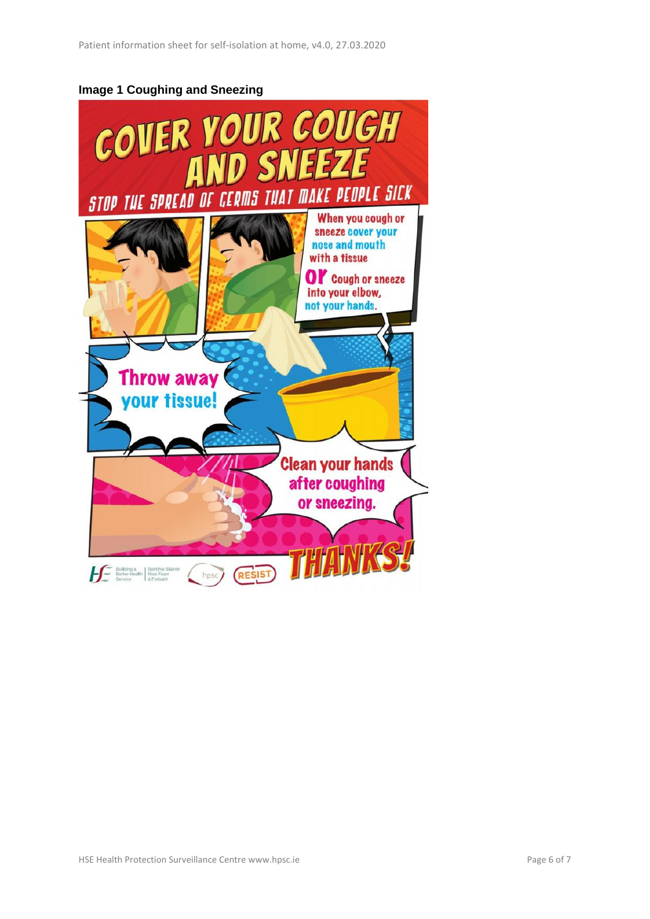### **Image 1 Coughing and Sneezing**